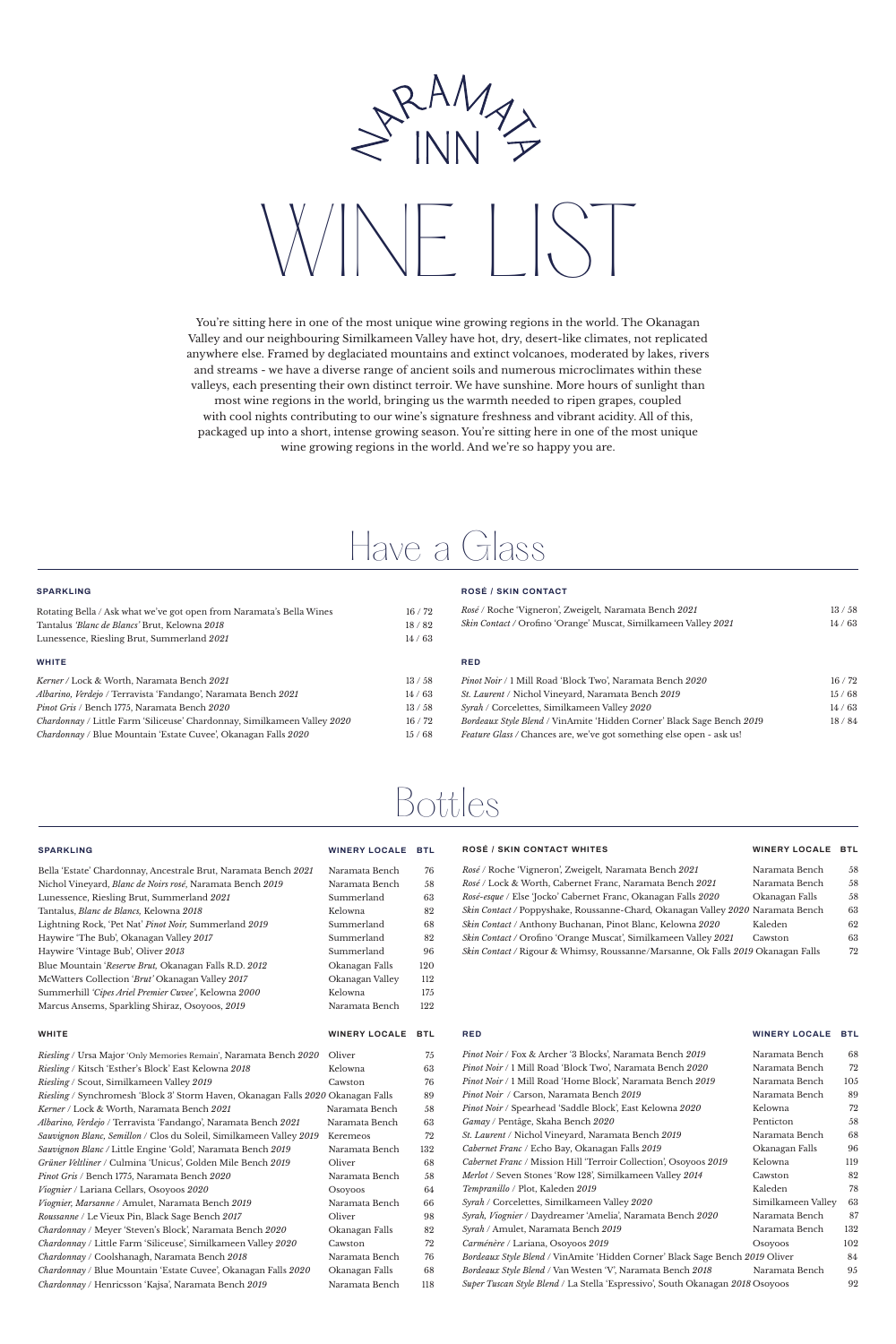### **SPARKLING**

| Rotating Bella / Ask what we've got open from Naramata's Bella Wines            | 16/72 |
|---------------------------------------------------------------------------------|-------|
| Tantalus 'Blanc de Blancs' Brut, Kelowna 2018                                   | 18/82 |
| Lunessence, Riesling Brut, Summerland 2021                                      | 14/63 |
|                                                                                 |       |
| <b>WHITE</b>                                                                    |       |
| Kerner / Lock & Worth, Naramata Bench 2021                                      | 13/58 |
| Albarino, Verdejo / Terravista 'Fandango', Naramata Bench 2021                  | 14/63 |
| <i>Pinot Gris / Bench 1775, Naramata Bench 2020</i>                             | 13/58 |
| <i>Chardonnay</i> / Little Farm 'Siliceuse' Chardonnay, Similkameen Valley 2020 | 16/72 |

*Chardonnay* / Blue Mountain 'Estate Cuvee', Okanagan Falls *2020* 15 / 68

# **ROSÉ / SKIN CONTACT**

| <i>Rosé / Roche 'Vigneron', Zweigelt, Naramata Bench 2021</i>               | 13/58 |
|-----------------------------------------------------------------------------|-------|
| Skin Contact / Orofino 'Orange' Muscat, Similkameen Valley 2021             | 14/63 |
| <b>RED</b>                                                                  |       |
| <i>Pinot Noir</i> / 1 Mill Road 'Block Two', Naramata Bench 2020            | 16/72 |
| <i>St. Laurent</i> / Nichol Vineyard, Naramata Bench 2019                   | 15/68 |
| <i>Syrah</i> / Corcelettes, Similkameen Valley 2020                         | 14/63 |
| Bordeaux Style Blend / VinAmite 'Hidden Corner' Black Sage Bench 2019       | 18/84 |
| <i>Feature Glass / Chances are, we've got something else open - ask us!</i> |       |

# Have a Glass

# Bottles

### **SPARKLING WINERY LOCALE BTL**

| Naramata Bench | 7 |
|----------------|---|
| Naramata Bench | 5 |
| Summerland     |   |
| Kelowna        | я |
| Summerland     |   |

Bella 'Estate' Chardonnay, Ancestrale Brut, Naramata Bench *2021* Naramata Bench 76 Nichol Vineyard, *Blanc de Noirs rosé*, Naramata Bench *2019* Naramata Bench 58 Lunessence, Riesling Brut, Summerland 2021 **Summerland** 63 Tantalus, *Blanc de Blancs,* Kelowna *2018* Kelowna 82 Lightning Rock, 'Pet Nat' *Pinot Noir,* Summerland *2019* Summerland 68

| Haywire 'The Bub', Okanagan Valley 2017                      | Summerland      | 82  |
|--------------------------------------------------------------|-----------------|-----|
| Haywire 'Vintage Bub', Oliver 2013                           | Summerland      | 96  |
| Blue Mountain <i>Reserve Brut</i> , Okanagan Falls R.D. 2012 | Okanagan Falls  | 120 |
| McWatters Collection 'Brut' Okanagan Valley 2017             | Okanagan Valley | 112 |
| Summerhill 'Cipes Ariel Premier Cuvee', Kelowna 2000         | Kelowna         | 175 |
| Marcus Ansems, Sparkling Shiraz, Osoyoos, 2019               | Naramata Bench  | 122 |
|                                                              |                 |     |

# *Rosé / Roche 'Vigneron', Zweigelt, Naramata Bench 2021 Rosé* / Lock & Worth, Cabernet Franc, Naramata Bench *2021* Naramata Bench 58 *Rosé-esque* / Else 'Jocko' Cabernet Franc, Okanagan Falls *2020* Okanagan Falls 58 *Skin Contact /* Poppyshake, Roussanne-Chard*,* Okanagan Valley *2020* Naramata Bench 63 *Skin Contact* / Anthony Buchanan, Pinot Blanc, Kelowna *2020* Kaleden 62

| Naramata Bench   | 58  |
|------------------|-----|
| Naramata Bench   | .58 |
| Okanagan Falls   | .58 |
| ' Naramata Bench | 63  |
| Kaleden          | 69  |

**WHITE WINERY LOCALE BTL**

| <i>Riesling</i> / Ursa Major 'Only Memories Remain', Naramata Bench 2020         | Oliver         | 75  |
|----------------------------------------------------------------------------------|----------------|-----|
| Riesling / Kitsch 'Esther's Block' East Kelowna 2018                             | Kelowna        | 63  |
| <i>Riesling</i> / Scout, Similkameen Valley 2019                                 | Cawston        | 76  |
| Riesling / Synchromesh 'Block 3' Storm Haven, Okanagan Falls 2020 Okanagan Falls |                | 89  |
| Kerner / Lock & Worth, Naramata Bench 2021                                       | Naramata Bench | 58  |
| Albarino, Verdejo / Terravista 'Fandango', Naramata Bench 2021                   | Naramata Bench | 63  |
| Sauvignon Blanc, Semillon / Clos du Soleil, Similkameen Valley 2019              | Keremeos       | 72  |
| Sauvignon Blanc / Little Engine 'Gold', Naramata Bench 2019                      | Naramata Bench | 132 |
| Grüner Veltliner / Culmina 'Unicus', Golden Mile Bench 2019                      | Oliver         | 68  |
| <i>Pinot Gris / Bench 1775, Naramata Bench 2020</i>                              | Naramata Bench | 58  |
| <i>Viognier</i> / Lariana Cellars, Osoyoos 2020                                  | Osoyoos        | 64  |
| Viognier, Marsanne / Amulet, Naramata Bench 2019                                 | Naramata Bench | 66  |
| Roussanne / Le Vieux Pin, Black Sage Bench 2017                                  | Oliver         | 98  |
| Chardonnay / Meyer 'Steven's Block', Naramata Bench 2020                         | Okanagan Falls | 82  |
| Chardonnay / Little Farm 'Siliceuse', Similkameen Valley 2020                    | Cawston        | 72  |
| Chardonnay / Coolshanagh, Naramata Bench 2018                                    | Naramata Bench | 76  |
| <i>Chardonnay</i> / Blue Mountain 'Estate Cuvee', Okanagan Falls 2020            | Okanagan Falls | 68  |
| Chardonnay / Henricsson 'Kajsa', Naramata Bench 2019                             | Naramata Bench | 118 |

### **ROSÉ / SKIN CONTACT WHITES WINERY LOCALE BTL**

*Skin Contact /* Orofino 'Orange Muscat', Similkameen Valley *2021* Cawston 63 *Skin Contact /* Rigour & Whimsy, Roussanne/Marsanne, Ok Falls *2019* Okanagan Falls 72

# **RED WINERY LOCALE BTL**

| Pinot Noir / Fox & Archer '3 Blocks', Naramata Bench 2019                      | Naramata Bench     | 68  |
|--------------------------------------------------------------------------------|--------------------|-----|
| Pinot Noir / 1 Mill Road 'Block Two', Naramata Bench 2020                      | Naramata Bench     | 72  |
| Pinot Noir / 1 Mill Road 'Home Block', Naramata Bench 2019                     | Naramata Bench     | 105 |
| <i>Pinot Noir</i> / Carson, Naramata Bench 2019                                | Naramata Bench     | 89  |
| Pinot Noir / Spearhead 'Saddle Block', East Kelowna 2020                       | Kelowna            | 72  |
| Gamay / Pentâge, Skaha Bench 2020                                              | Penticton          | 58  |
| St. Laurent / Nichol Vineyard, Naramata Bench 2019                             | Naramata Bench     | 68  |
| <i>Cabernet Franc / Echo Bay, Okanagan Falls 2019</i>                          | Okanagan Falls     | 96  |
| Cabernet Franc / Mission Hill 'Terroir Collection', Osoyoos 2019               | Kelowna            | 119 |
| Merlot / Seven Stones 'Row 128', Similkameen Valley 2014                       | Cawston            | 82  |
| <i>Tempranillo</i> / Plot, Kaleden 2019                                        | Kaleden            | 78  |
| Syrah / Corcelettes, Similkameen Valley 2020                                   | Similkameen Valley | 63  |
| Syrah, Viognier / Daydreamer 'Amelia', Naramata Bench 2020                     | Naramata Bench     | 87  |
| <i>Syrah / Amulet, Naramata Bench 2019</i>                                     | Naramata Bench     | 132 |
| Carménère / Lariana, Osoyoos 2019                                              | Osoyoos            | 102 |
| Bordeaux Style Blend / VinAmite 'Hidden Corner' Black Sage Bench 2019 Oliver   |                    | 84  |
| <i>Bordeaux Style Blend</i> / Van Westen 'V', Naramata Bench 2018              | Naramata Bench     | 95  |
| Super Tuscan Style Blend / La Stella 'Espressivo', South Okanagan 2018 Osoyoos |                    | 92  |

You're sitting here in one of the most unique wine growing regions in the world. The Okanagan Valley and our neighbouring Similkameen Valley have hot, dry, desert-like climates, not replicated anywhere else. Framed by deglaciated mountains and extinct volcanoes, moderated by lakes, rivers and streams - we have a diverse range of ancient soils and numerous microclimates within these valleys, each presenting their own distinct terroir. We have sunshine. More hours of sunlight than most wine regions in the world, bringing us the warmth needed to ripen grapes, coupled with cool nights contributing to our wine's signature freshness and vibrant acidity. All of this, packaged up into a short, intense growing season. You're sitting here in one of the most unique wine growing regions in the world. And we're so happy you are.